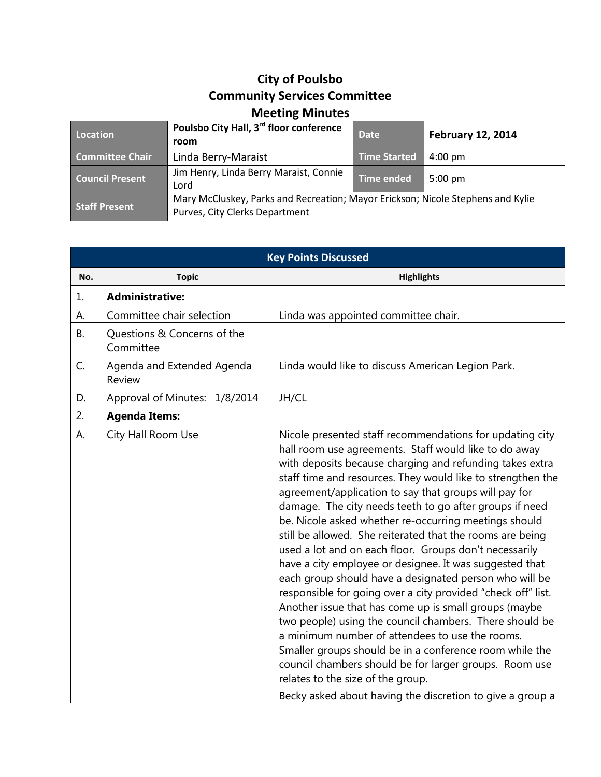## **City of Poulsbo Community Services Committee Meeting Minutes**

| Location               | Poulsbo City Hall, 3rd floor conference<br>room                                                                   | <b>Date</b>       | <b>February 12, 2014</b> |
|------------------------|-------------------------------------------------------------------------------------------------------------------|-------------------|--------------------------|
| <b>Committee Chair</b> | Linda Berry-Maraist                                                                                               | Time Started      | $4:00 \text{ pm}$        |
| <b>Council Present</b> | Jim Henry, Linda Berry Maraist, Connie<br>Lord                                                                    | <b>Time ended</b> | $5:00 \text{ pm}$        |
| <b>Staff Present</b>   | Mary McCluskey, Parks and Recreation; Mayor Erickson; Nicole Stephens and Kylie<br>Purves, City Clerks Department |                   |                          |

| <b>Key Points Discussed</b> |                                          |                                                                                                                                                                                                                                                                                                                                                                                                                                                                                                                                                                                                                                                                                                                                                                                                                                                                                                                                                                                                                                                                                                                                     |  |
|-----------------------------|------------------------------------------|-------------------------------------------------------------------------------------------------------------------------------------------------------------------------------------------------------------------------------------------------------------------------------------------------------------------------------------------------------------------------------------------------------------------------------------------------------------------------------------------------------------------------------------------------------------------------------------------------------------------------------------------------------------------------------------------------------------------------------------------------------------------------------------------------------------------------------------------------------------------------------------------------------------------------------------------------------------------------------------------------------------------------------------------------------------------------------------------------------------------------------------|--|
| No.                         | <b>Topic</b>                             | <b>Highlights</b>                                                                                                                                                                                                                                                                                                                                                                                                                                                                                                                                                                                                                                                                                                                                                                                                                                                                                                                                                                                                                                                                                                                   |  |
| 1.                          | <b>Administrative:</b>                   |                                                                                                                                                                                                                                                                                                                                                                                                                                                                                                                                                                                                                                                                                                                                                                                                                                                                                                                                                                                                                                                                                                                                     |  |
| А.                          | Committee chair selection                | Linda was appointed committee chair.                                                                                                                                                                                                                                                                                                                                                                                                                                                                                                                                                                                                                                                                                                                                                                                                                                                                                                                                                                                                                                                                                                |  |
| <b>B.</b>                   | Questions & Concerns of the<br>Committee |                                                                                                                                                                                                                                                                                                                                                                                                                                                                                                                                                                                                                                                                                                                                                                                                                                                                                                                                                                                                                                                                                                                                     |  |
| C.                          | Agenda and Extended Agenda<br>Review     | Linda would like to discuss American Legion Park.                                                                                                                                                                                                                                                                                                                                                                                                                                                                                                                                                                                                                                                                                                                                                                                                                                                                                                                                                                                                                                                                                   |  |
| D.                          | Approval of Minutes: 1/8/2014            | JH/CL                                                                                                                                                                                                                                                                                                                                                                                                                                                                                                                                                                                                                                                                                                                                                                                                                                                                                                                                                                                                                                                                                                                               |  |
| 2.                          | <b>Agenda Items:</b>                     |                                                                                                                                                                                                                                                                                                                                                                                                                                                                                                                                                                                                                                                                                                                                                                                                                                                                                                                                                                                                                                                                                                                                     |  |
| А.                          | City Hall Room Use                       | Nicole presented staff recommendations for updating city<br>hall room use agreements. Staff would like to do away<br>with deposits because charging and refunding takes extra<br>staff time and resources. They would like to strengthen the<br>agreement/application to say that groups will pay for<br>damage. The city needs teeth to go after groups if need<br>be. Nicole asked whether re-occurring meetings should<br>still be allowed. She reiterated that the rooms are being<br>used a lot and on each floor. Groups don't necessarily<br>have a city employee or designee. It was suggested that<br>each group should have a designated person who will be<br>responsible for going over a city provided "check off" list.<br>Another issue that has come up is small groups (maybe<br>two people) using the council chambers. There should be<br>a minimum number of attendees to use the rooms.<br>Smaller groups should be in a conference room while the<br>council chambers should be for larger groups. Room use<br>relates to the size of the group.<br>Becky asked about having the discretion to give a group a |  |